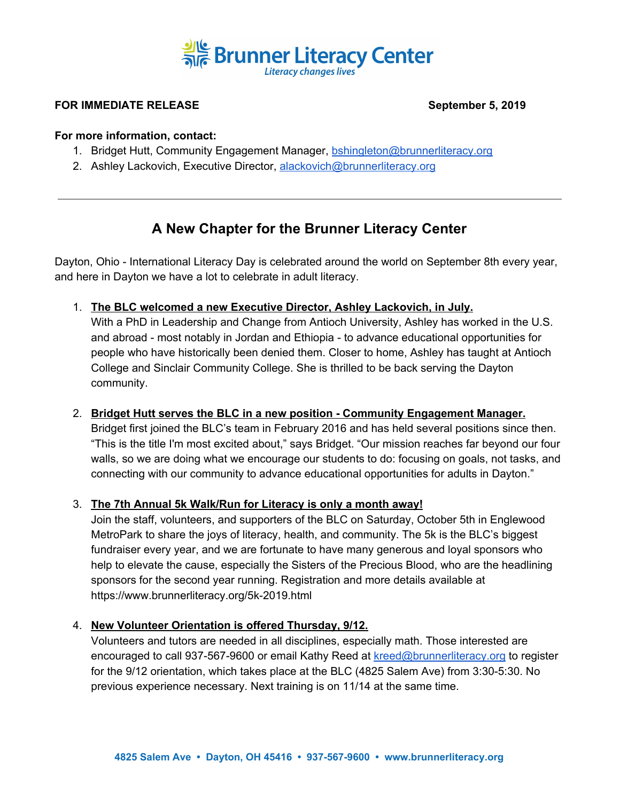

## **FOR IMMEDIATE RELEASE September 5, 2019**

#### **For more information, contact:**

- 1. Bridget Hutt, Community Engagement Manager, [bshingleton@brunnerliteracy.org](mailto:bshingleton@brunnerliteracy.org)
- 2. Ashley Lackovich, Executive Director, [alackovich@brunnerliteracy.org](mailto:alackovich@brunnerliteracy.org)

# **A New Chapter for the Brunner Literacy Center**

Dayton, Ohio - International Literacy Day is celebrated around the world on September 8th every year, and here in Dayton we have a lot to celebrate in adult literacy.

1. **The BLC welcomed a new Executive Director, Ashley Lackovich, in July.**

With a PhD in Leadership and Change from Antioch University, Ashley has worked in the U.S. and abroad - most notably in Jordan and Ethiopia - to advance educational opportunities for people who have historically been denied them. Closer to home, Ashley has taught at Antioch College and Sinclair Community College. She is thrilled to be back serving the Dayton community.

2. **Bridget Hutt serves the BLC in a new position - Community Engagement Manager.**

Bridget first joined the BLC's team in February 2016 and has held several positions since then. "This is the title I'm most excited about," says Bridget. "Our mission reaches far beyond our four walls, so we are doing what we encourage our students to do: focusing on goals, not tasks, and connecting with our community to advance educational opportunities for adults in Dayton."

## 3. **The 7th Annual 5k Walk/Run for Literacy is only a month away!**

Join the staff, volunteers, and supporters of the BLC on Saturday, October 5th in Englewood MetroPark to share the joys of literacy, health, and community. The 5k is the BLC's biggest fundraiser every year, and we are fortunate to have many generous and loyal sponsors who help to elevate the cause, especially the Sisters of the Precious Blood, who are the headlining sponsors for the second year running. Registration and more details available at https://www.brunnerliteracy.org/5k-2019.html

### 4. **New Volunteer Orientation is offered Thursday, 9/12.**

Volunteers and tutors are needed in all disciplines, especially math. Those interested are encouraged to call 937-567-9600 or email Kathy Reed at [kreed@brunnerliteracy.org](mailto:kreed@brunnerliteracy.org) to register for the 9/12 orientation, which takes place at the BLC (4825 Salem Ave) from 3:30-5:30. No previous experience necessary. Next training is on 11/14 at the same time.